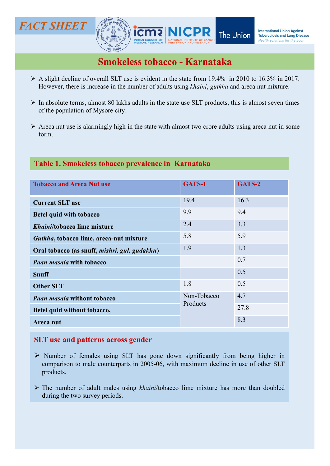

- 
- 
- form.

### Table 1. Smokeless tobacco prevalence in Karnataka

| MEDICAL RESEARCH   PREVENTION AND RESEARCH                                                                                                                                                                                                                                                                                                                                                     |                         |        |
|------------------------------------------------------------------------------------------------------------------------------------------------------------------------------------------------------------------------------------------------------------------------------------------------------------------------------------------------------------------------------------------------|-------------------------|--------|
| <b>Smokeless tobacco - Karnataka</b>                                                                                                                                                                                                                                                                                                                                                           |                         |        |
| $\triangleright$ A slight decline of overall SLT use is evident in the state from 19.4% in 2010 to 16.3% in 2017.<br>However, there is increase in the number of adults using khaini, gutkha and areca nut mixture.                                                                                                                                                                            |                         |        |
| $\triangleright$ In absolute terms, almost 80 lakhs adults in the state use SLT products, this is almost seven times<br>of the population of Mysore city.                                                                                                                                                                                                                                      |                         |        |
| $\triangleright$ Areca nut use is alarmingly high in the state with almost two crore adults using areca nut in some<br>form.                                                                                                                                                                                                                                                                   |                         |        |
| Table 1. Smokeless tobacco prevalence in Karnataka                                                                                                                                                                                                                                                                                                                                             |                         |        |
| <b>Tobacco and Areca Nut use</b>                                                                                                                                                                                                                                                                                                                                                               | GATS-1                  | GATS-2 |
| <b>Current SLT use</b>                                                                                                                                                                                                                                                                                                                                                                         | 19.4                    | 16.3   |
| <b>Betel quid with tobacco</b>                                                                                                                                                                                                                                                                                                                                                                 | 9.9                     | 9.4    |
| Khaini/tobacco lime mixture                                                                                                                                                                                                                                                                                                                                                                    | 2.4                     | 3.3    |
| Gutkha, tobacco lime, areca-nut mixture                                                                                                                                                                                                                                                                                                                                                        | 5.8                     | 5.9    |
| Oral tobacco (as snuff, mishri, gul, gudakhu)                                                                                                                                                                                                                                                                                                                                                  | 1.9                     | 1.3    |
| <b>Paan masala with tobacco</b>                                                                                                                                                                                                                                                                                                                                                                |                         | 0.7    |
| <b>Snuff</b>                                                                                                                                                                                                                                                                                                                                                                                   |                         | 0.5    |
| <b>Other SLT</b>                                                                                                                                                                                                                                                                                                                                                                               | 1.8                     | 0.5    |
| <b>Paan masala without tobacco</b>                                                                                                                                                                                                                                                                                                                                                             | Non-Tobacco<br>Products | 4.7    |
| Betel quid without tobacco,                                                                                                                                                                                                                                                                                                                                                                    |                         | 27.8   |
| Areca nut                                                                                                                                                                                                                                                                                                                                                                                      |                         | 8.3    |
| <b>SLT</b> use and patterns across gender<br>$\triangleright$ Number of females using SLT has gone down significantly from being higher in<br>comparison to male counterparts in 2005-06, with maximum decline in use of other SLT<br>products.<br>$\triangleright$ The number of adult males using <i>khaini/tobacco</i> lime mixture has more than doubled<br>during the two survey periods. |                         |        |

- products.
-